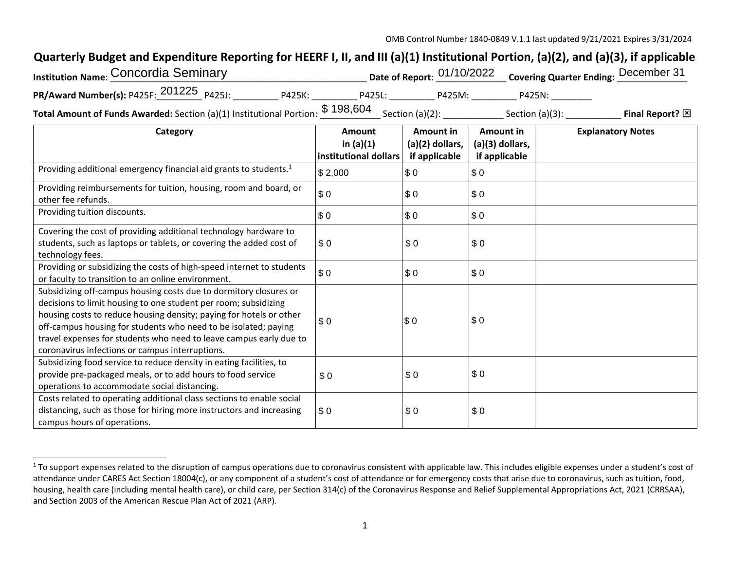## **Quarterly Budget and Expenditure Reporting for HEERF I, II, and III (a)(1) Institutional Portion, (a)(2), and (a)(3), if applicable**

| <b>Institution Name: Concordia Seminary</b>                                                                    |        |        |        |                    | Date of Report: 01/10/2022 Covering Quarter Ending: December 31 |
|----------------------------------------------------------------------------------------------------------------|--------|--------|--------|--------------------|-----------------------------------------------------------------|
| PR/Award Number(s): P425F: 201225 P425J:                                                                       | P425K: | P425L: | P425M: | P425N:             |                                                                 |
| <b>Total Amount of Funds Awarded:</b> Section (a)(1) Institutional Portion: $\frac{$498,604}{$ection(a)(2)}$ : |        |        |        | Section $(a)(3)$ : | Final Report? 图                                                 |

| Category                                                                                                                                                                                                                                                                                                                                                                                                | Amount<br>in $(a)(1)$ | Amount in<br>(a)(2) dollars, | Amount in<br>(a)(3) dollars, | <b>Explanatory Notes</b> |
|---------------------------------------------------------------------------------------------------------------------------------------------------------------------------------------------------------------------------------------------------------------------------------------------------------------------------------------------------------------------------------------------------------|-----------------------|------------------------------|------------------------------|--------------------------|
|                                                                                                                                                                                                                                                                                                                                                                                                         | institutional dollars | if applicable                | if applicable                |                          |
| Providing additional emergency financial aid grants to students. <sup>1</sup>                                                                                                                                                                                                                                                                                                                           | \$2,000               | \$0                          | \$0                          |                          |
| Providing reimbursements for tuition, housing, room and board, or<br>other fee refunds.                                                                                                                                                                                                                                                                                                                 | \$0                   | \$0                          | \$0                          |                          |
| Providing tuition discounts.                                                                                                                                                                                                                                                                                                                                                                            | \$0                   | \$0                          | \$0                          |                          |
| Covering the cost of providing additional technology hardware to<br>students, such as laptops or tablets, or covering the added cost of<br>technology fees.                                                                                                                                                                                                                                             | \$0                   | \$0                          | \$0                          |                          |
| Providing or subsidizing the costs of high-speed internet to students<br>or faculty to transition to an online environment.                                                                                                                                                                                                                                                                             | \$0                   | \$0                          | \$0                          |                          |
| Subsidizing off-campus housing costs due to dormitory closures or<br>decisions to limit housing to one student per room; subsidizing<br>housing costs to reduce housing density; paying for hotels or other<br>off-campus housing for students who need to be isolated; paying<br>travel expenses for students who need to leave campus early due to<br>coronavirus infections or campus interruptions. | \$0                   | \$0                          | \$0                          |                          |
| Subsidizing food service to reduce density in eating facilities, to<br>provide pre-packaged meals, or to add hours to food service<br>operations to accommodate social distancing.                                                                                                                                                                                                                      | \$0                   | \$0                          | \$0                          |                          |
| Costs related to operating additional class sections to enable social<br>distancing, such as those for hiring more instructors and increasing<br>campus hours of operations.                                                                                                                                                                                                                            | \$0                   | \$0                          | \$0                          |                          |

<sup>&</sup>lt;sup>1</sup> To support expenses related to the disruption of campus operations due to coronavirus consistent with applicable law. This includes eligible expenses under a student's cost of attendance under CARES Act Section 18004(c), or any component of a student's cost of attendance or for emergency costs that arise due to coronavirus, such as tuition, food, housing, health care (including mental health care), or child care, per Section 314(c) of the Coronavirus Response and Relief Supplemental Appropriations Act, 2021 (CRRSAA), and Section 2003 of the American Rescue Plan Act of 2021 (ARP).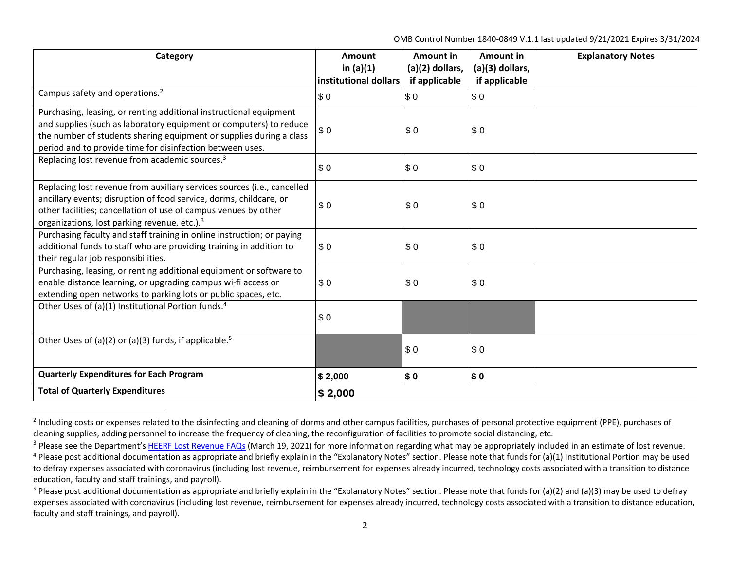OMB Control Number 1840‐0849 V.1.1 last updated 9/21/2021 Expires 3/31/2024

| Category                                                                                                                                                                                                                                                                     | <b>Amount</b><br>in $(a)(1)$<br>institutional dollars | <b>Amount in</b><br>(a)(2) dollars,<br>if applicable | <b>Amount in</b><br>(a)(3) dollars,<br>if applicable | <b>Explanatory Notes</b> |
|------------------------------------------------------------------------------------------------------------------------------------------------------------------------------------------------------------------------------------------------------------------------------|-------------------------------------------------------|------------------------------------------------------|------------------------------------------------------|--------------------------|
| Campus safety and operations. <sup>2</sup>                                                                                                                                                                                                                                   | \$0                                                   | \$0                                                  | \$0                                                  |                          |
| Purchasing, leasing, or renting additional instructional equipment<br>and supplies (such as laboratory equipment or computers) to reduce<br>the number of students sharing equipment or supplies during a class<br>period and to provide time for disinfection between uses. | \$0                                                   | \$0                                                  | \$0                                                  |                          |
| Replacing lost revenue from academic sources. <sup>3</sup>                                                                                                                                                                                                                   | \$0                                                   | \$0                                                  | \$0                                                  |                          |
| Replacing lost revenue from auxiliary services sources (i.e., cancelled<br>ancillary events; disruption of food service, dorms, childcare, or<br>other facilities; cancellation of use of campus venues by other<br>organizations, lost parking revenue, etc.). <sup>3</sup> | \$0                                                   | \$0                                                  | \$0                                                  |                          |
| Purchasing faculty and staff training in online instruction; or paying<br>additional funds to staff who are providing training in addition to<br>their regular job responsibilities.                                                                                         | \$0                                                   | \$0                                                  | \$0                                                  |                          |
| Purchasing, leasing, or renting additional equipment or software to<br>enable distance learning, or upgrading campus wi-fi access or<br>extending open networks to parking lots or public spaces, etc.                                                                       | \$0                                                   | \$0                                                  | \$0                                                  |                          |
| Other Uses of (a)(1) Institutional Portion funds. <sup>4</sup>                                                                                                                                                                                                               | \$0                                                   |                                                      |                                                      |                          |
| Other Uses of (a)(2) or (a)(3) funds, if applicable. <sup>5</sup>                                                                                                                                                                                                            |                                                       | \$0                                                  | \$0                                                  |                          |
| <b>Quarterly Expenditures for Each Program</b>                                                                                                                                                                                                                               | \$2,000                                               | \$0                                                  | \$0                                                  |                          |
| <b>Total of Quarterly Expenditures</b>                                                                                                                                                                                                                                       | \$2,000                                               |                                                      |                                                      |                          |

<sup>&</sup>lt;sup>2</sup> Including costs or expenses related to the disinfecting and cleaning of dorms and other campus facilities, purchases of personal protective equipment (PPE), purchases of cleaning supplies, adding personnel to increase the frequency of cleaning, the reconfiguration of facilities to promote social distancing, etc.

<sup>&</sup>lt;sup>3</sup> Please see the Department's HEERF Lost Revenue FAQs (March 19, 2021) for more information regarding what may be appropriately included in an estimate of lost revenue.

 $4$  Please post additional documentation as appropriate and briefly explain in the "Explanatory Notes" section. Please note that funds for (a)(1) Institutional Portion may be used to defray expenses associated with coronavirus (including lost revenue, reimbursement for expenses already incurred, technology costs associated with a transition to distance education, faculty and staff trainings, and payroll).

<sup>&</sup>lt;sup>5</sup> Please post additional documentation as appropriate and briefly explain in the "Explanatory Notes" section. Please note that funds for (a)(2) and (a)(3) may be used to defray expenses associated with coronavirus (including lost revenue, reimbursement for expenses already incurred, technology costs associated with a transition to distance education, faculty and staff trainings, and payroll).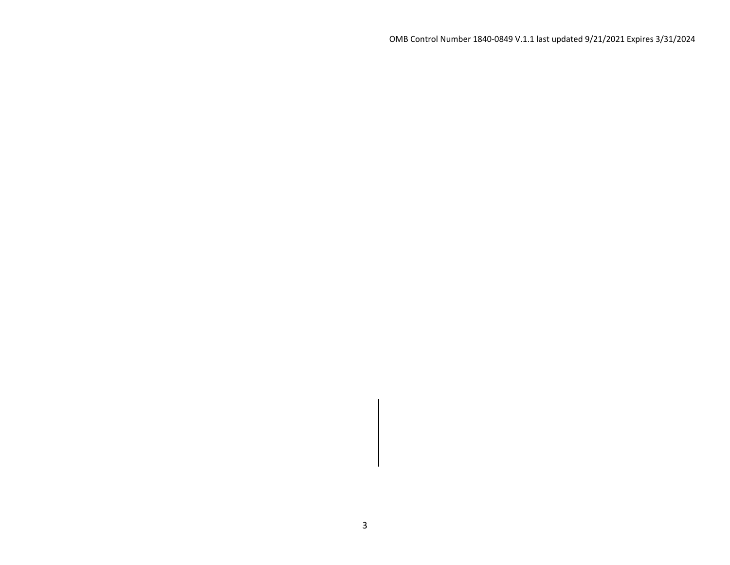OMB Control Number 1840-0849 V.1.1 last updated 9/21/2021 Expires 3/31/2024